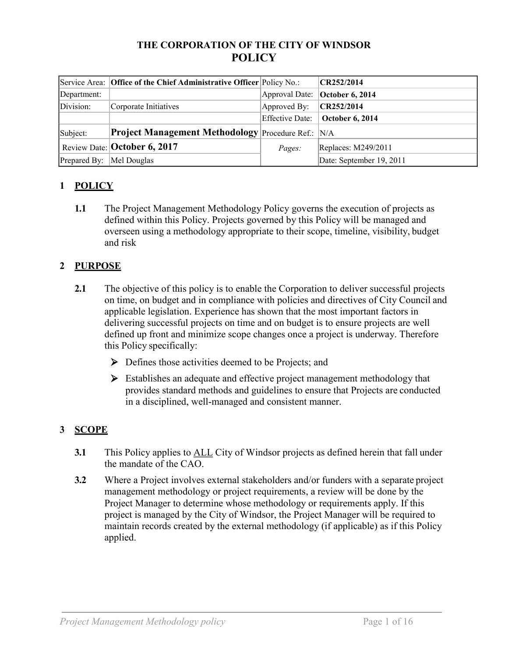## **THE CORPORATION OF THE CITY OF WINDSOR POLICY**

|                           | Service Area: Office of the Chief Administrative Officer Policy No.: |                 | CR252/2014                     |
|---------------------------|----------------------------------------------------------------------|-----------------|--------------------------------|
| Department:               |                                                                      |                 | Approval Date: October 6, 2014 |
| Division:                 | Corporate Initiatives                                                | Approved By:    | CR252/2014                     |
|                           |                                                                      | Effective Date: | <b>October 6, 2014</b>         |
| Subject:                  | <b>Project Management Methodology</b> Procedure Ref.: N/A            |                 |                                |
|                           | Review Date: <b>October 6, 2017</b>                                  | <i>Pages:</i>   | Replaces: M249/2011            |
| Prepared By:  Mel Douglas |                                                                      |                 | Date: September 19, 2011       |

# **1 POLICY**

**1.1** The Project Management Methodology Policy governs the execution of projects as defined within this Policy. Projects governed by this Policy will be managed and overseen using a methodology appropriate to their scope, timeline, visibility, budget and risk

## **2 PURPOSE**

- **2.1** The objective of this policy is to enable the Corporation to deliver successful projects on time, on budget and in compliance with policies and directives of City Council and applicable legislation. Experience has shown that the most important factors in delivering successful projects on time and on budget is to ensure projects are well defined up front and minimize scope changes once a project is underway. Therefore this Policy specifically:
	- $\triangleright$  Defines those activities deemed to be Projects; and
	- Stablishes an adequate and effective project management methodology that provides standard methods and guidelines to ensure that Projects are conducted in a disciplined, well-managed and consistent manner.

## **3 SCOPE**

- **3.1** This Policy applies to ALL City of Windsor projects as defined herein that fall under the mandate of the CAO.
- **3.2** Where a Project involves external stakeholders and/or funders with a separate project management methodology or project requirements, a review will be done by the Project Manager to determine whose methodology or requirements apply. If this project is managed by the City of Windsor, the Project Manager will be required to maintain records created by the external methodology (if applicable) as if this Policy applied.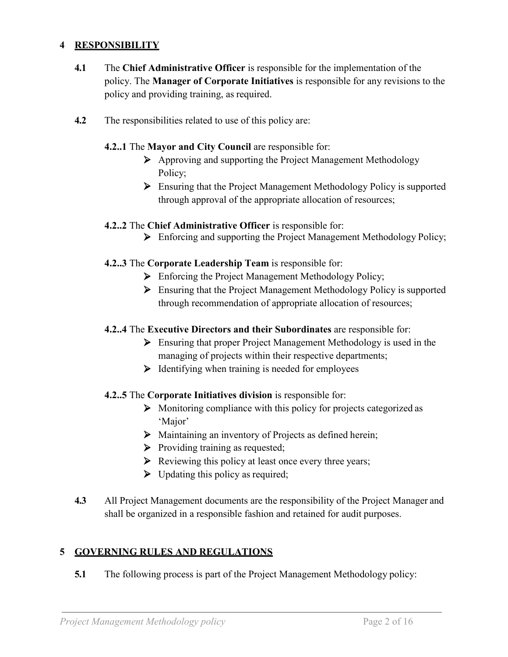## **4 RESPONSIBILITY**

- **4.1** The **Chief Administrative Officer** is responsible for the implementation of the policy. The **Manager of Corporate Initiatives** is responsible for any revisions to the policy and providing training, as required.
- **4.2** The responsibilities related to use of this policy are:

#### **4.2..1** The **Mayor and City Council** are responsible for:

- $\triangleright$  Approving and supporting the Project Management Methodology Policy;
- ⮚ Ensuring that the Project Management Methodology Policy is supported through approval of the appropriate allocation of resources;

## **4.2..2** The **Chief Administrative Officer** is responsible for:

> Enforcing and supporting the Project Management Methodology Policy;

## **4.2..3** The **Corporate Leadership Team** is responsible for:

- $\triangleright$  Enforcing the Project Management Methodology Policy;
- $\triangleright$  Ensuring that the Project Management Methodology Policy is supported through recommendation of appropriate allocation of resources;

#### **4.2..4** The **Executive Directors and their Subordinates** are responsible for:

- $\triangleright$  Ensuring that proper Project Management Methodology is used in the managing of projects within their respective departments;
- $\triangleright$  Identifying when training is needed for employees

## **4.2..5** The **Corporate Initiatives division** is responsible for:

- $\triangleright$  Monitoring compliance with this policy for projects categorized as 'Major'
- $\triangleright$  Maintaining an inventory of Projects as defined herein;
- $\triangleright$  Providing training as requested;
- $\triangleright$  Reviewing this policy at least once every three years;
- $\triangleright$  Updating this policy as required;
- **4.3** All Project Management documents are the responsibility of the Project Manager and shall be organized in a responsible fashion and retained for audit purposes.

## **5 GOVERNING RULES AND REGULATIONS**

**5.1** The following process is part of the Project Management Methodology policy: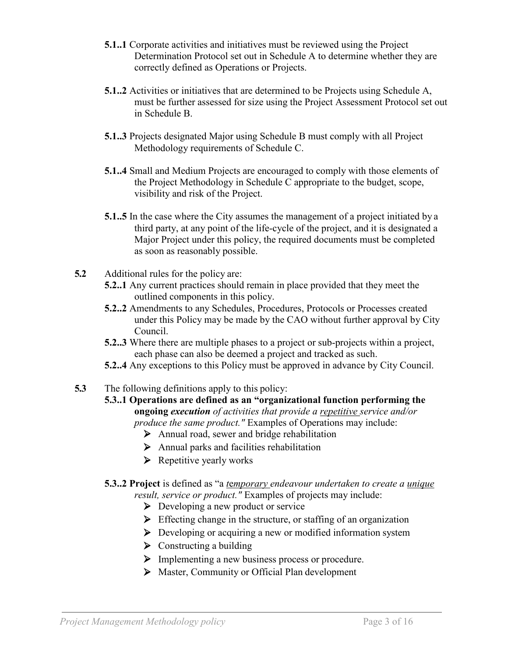- **5.1..1** Corporate activities and initiatives must be reviewed using the Project Determination Protocol set out in Schedule A to determine whether they are correctly defined as Operations or Projects.
- **5.1..2** Activities or initiatives that are determined to be Projects using Schedule A, must be further assessed for size using the Project Assessment Protocol set out in Schedule B.
- **5.1..3** Projects designated Major using Schedule B must comply with all Project Methodology requirements of Schedule C.
- **5.1..4** Small and Medium Projects are encouraged to comply with those elements of the Project Methodology in Schedule C appropriate to the budget, scope, visibility and risk of the Project.
- **5.1..5** In the case where the City assumes the management of a project initiated by a third party, at any point of the life-cycle of the project, and it is designated a Major Project under this policy, the required documents must be completed as soon as reasonably possible.
- **5.2** Additional rules for the policy are:
	- **5.2..1** Any current practices should remain in place provided that they meet the outlined components in this policy.
	- **5.2..2** Amendments to any Schedules, Procedures, Protocols or Processes created under this Policy may be made by the CAO without further approval by City Council.
	- **5.2..3** Where there are multiple phases to a project or sub-projects within a project, each phase can also be deemed a project and tracked as such.
	- **5.2..4** Any exceptions to this Policy must be approved in advance by City Council.
- **5.3** The following definitions apply to this policy:
	- **5.3..1 Operations are defined as an "organizational function performing the ongoing** *execution of activities that provide a repetitive service and/or produce the same product."* Examples of Operations may include:
		- $\triangleright$  Annual road, sewer and bridge rehabilitation
		- $\triangleright$  Annual parks and facilities rehabilitation
		- $\triangleright$  Repetitive yearly works
	- **5.3..2 Project** is defined as "a *t*e*mporary endeavour undertaken to create a unique result, service or product."* Examples of projects may include:
		- $\triangleright$  Developing a new product or service
		- $\triangleright$  Effecting change in the structure, or staffing of an organization
		- $\triangleright$  Developing or acquiring a new or modified information system
		- $\triangleright$  Constructing a building
		- $\triangleright$  Implementing a new business process or procedure.
		- $\triangleright$  Master, Community or Official Plan development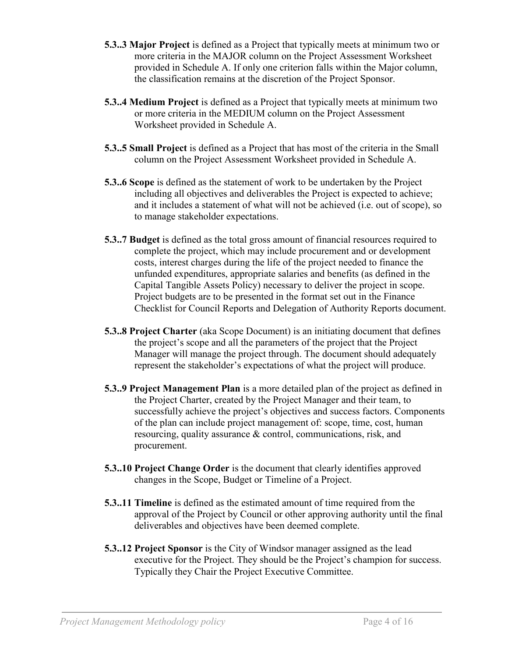- **5.3..3 Major Project** is defined as a Project that typically meets at minimum two or more criteria in the MAJOR column on the Project Assessment Worksheet provided in Schedule A. If only one criterion falls within the Major column, the classification remains at the discretion of the Project Sponsor.
- **5.3..4 Medium Project** is defined as a Project that typically meets at minimum two or more criteria in the MEDIUM column on the Project Assessment Worksheet provided in Schedule A.
- **5.3..5 Small Project** is defined as a Project that has most of the criteria in the Small column on the Project Assessment Worksheet provided in Schedule A.
- **5.3..6 Scope** is defined as the statement of work to be undertaken by the Project including all objectives and deliverables the Project is expected to achieve; and it includes a statement of what will not be achieved (i.e. out of scope), so to manage stakeholder expectations.
- **5.3..7 Budget** is defined as the total gross amount of financial resources required to complete the project, which may include procurement and or development costs, interest charges during the life of the project needed to finance the unfunded expenditures, appropriate salaries and benefits (as defined in the Capital Tangible Assets Policy) necessary to deliver the project in scope. Project budgets are to be presented in the format set out in the Finance Checklist for Council Reports and Delegation of Authority Reports document.
- **5.3..8 Project Charter** (aka Scope Document) is an initiating document that defines the project's scope and all the parameters of the project that the Project Manager will manage the project through. The document should adequately represent the stakeholder's expectations of what the project will produce.
- **5.3..9 Project Management Plan** is a more detailed plan of the project as defined in the Project Charter, created by the Project Manager and their team, to successfully achieve the project's objectives and success factors. Components of the plan can include project management of: scope, time, cost, human resourcing, quality assurance & control, communications, risk, and procurement.
- **5.3..10 Project Change Order** is the document that clearly identifies approved changes in the Scope, Budget or Timeline of a Project.
- **5.3..11 Timeline** is defined as the estimated amount of time required from the approval of the Project by Council or other approving authority until the final deliverables and objectives have been deemed complete.
- **5.3..12 Project Sponsor** is the City of Windsor manager assigned as the lead executive for the Project. They should be the Project's champion for success. Typically they Chair the Project Executive Committee.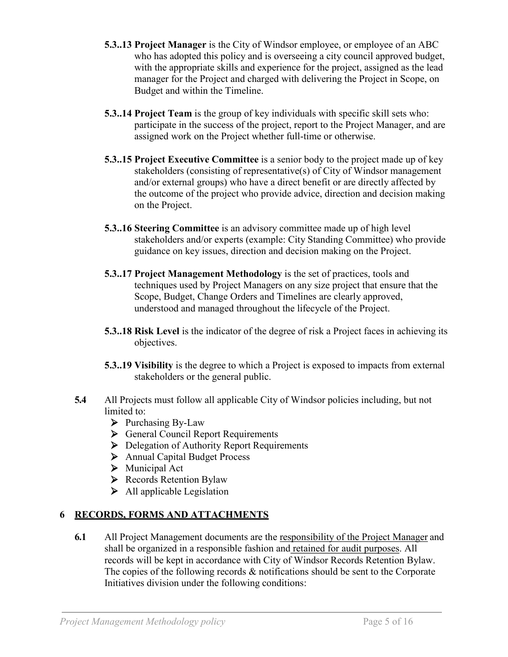- **5.3..13 Project Manager** is the City of Windsor employee, or employee of an ABC who has adopted this policy and is overseeing a city council approved budget, with the appropriate skills and experience for the project, assigned as the lead manager for the Project and charged with delivering the Project in Scope, on Budget and within the Timeline.
- **5.3..14 Project Team** is the group of key individuals with specific skill sets who: participate in the success of the project, report to the Project Manager, and are assigned work on the Project whether full-time or otherwise.
- **5.3..15 Project Executive Committee** is a senior body to the project made up of key stakeholders (consisting of representative(s) of City of Windsor management and/or external groups) who have a direct benefit or are directly affected by the outcome of the project who provide advice, direction and decision making on the Project.
- **5.3..16 Steering Committee** is an advisory committee made up of high level stakeholders and/or experts (example: City Standing Committee) who provide guidance on key issues, direction and decision making on the Project.
- **5.3..17 Project Management Methodology** is the set of practices, tools and techniques used by Project Managers on any size project that ensure that the Scope, Budget, Change Orders and Timelines are clearly approved, understood and managed throughout the lifecycle of the Project.
- **5.3..18 Risk Level** is the indicator of the degree of risk a Project faces in achieving its objectives.
- **5.3..19 Visibility** is the degree to which a Project is exposed to impacts from external stakeholders or the general public.
- **5.4** All Projects must follow all applicable City of Windsor policies including, but not limited to:
	- $\triangleright$  Purchasing By-Law
	- ▶ General Council Report Requirements
	- ▶ Delegation of Authority Report Requirements
	- > Annual Capital Budget Process
	- $\triangleright$  Municipal Act
	- ▶ Records Retention Bylaw
	- $\triangleright$  All applicable Legislation

# **6 RECORDS, FORMS AND ATTACHMENTS**

**6.1** All Project Management documents are the responsibility of the Project Manager and shall be organized in a responsible fashion and retained for audit purposes. All records will be kept in accordance with City of Windsor Records Retention Bylaw. The copies of the following records & notifications should be sent to the Corporate Initiatives division under the following conditions: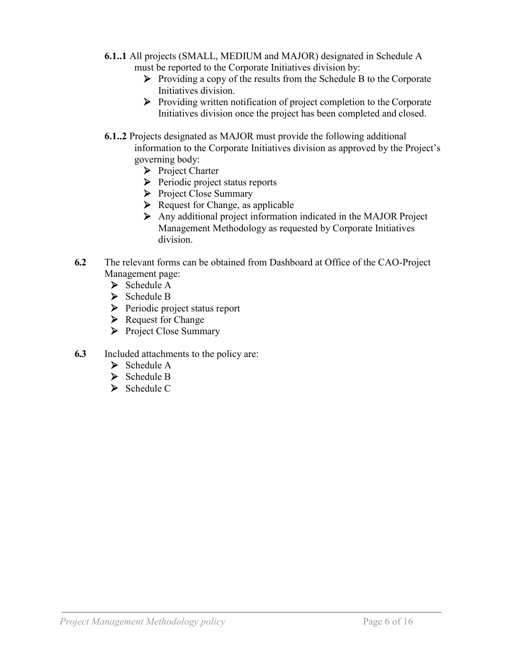- **6.1..1** All projects (SMALL, MEDIUM and MAJOR) designated in Schedule A must be reported to the Corporate Initiatives division by:
	- $\triangleright$  Providing a copy of the results from the Schedule B to the Corporate Initiatives division.
	- ⮚ Providing written notification of project completion to the Corporate Initiatives division once the project has been completed and closed.
- **6.1..2** Projects designated as MAJOR must provide the following additional information to the Corporate Initiatives division as approved by the Project's governing body:
	- **▶ Project Charter**
	- **►** Periodic project status reports
	- ▶ Project Close Summary
	- $\triangleright$  Request for Change, as applicable
	- $\triangleright$  Any additional project information indicated in the MAJOR Project Management Methodology as requested by Corporate Initiatives division.
- **6.2** The relevant forms can be obtained from Dashboard at Office of the CAO-Project Management page:
	- > Schedule A
	- > Schedule B
	- ▶ Periodic project status report
	- $\triangleright$  Request for Change
	- ▶ Project Close Summary
- **6.3** Included attachments to the policy are:
	- > Schedule A
	- > Schedule B
	- Schedule C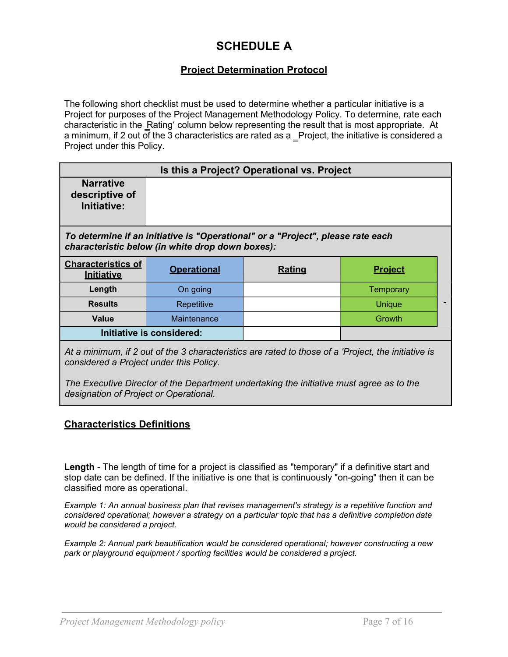# **SCHEDULE A**

## **Project Determination Protocol**

The following short checklist must be used to determine whether a particular initiative is a Project for purposes of the Project Management Methodology Policy. To determine, rate each characteristic in the Rating' column below representing the result that is most appropriate. At a minimum, if 2 out of the 3 characteristics are rated as a \_Project, the initiative is considered a Project under this Policy.

| Is this a Project? Operational vs. Project                                                                                          |                           |               |                |  |  |
|-------------------------------------------------------------------------------------------------------------------------------------|---------------------------|---------------|----------------|--|--|
| <b>Narrative</b><br>descriptive of<br>Initiative:                                                                                   |                           |               |                |  |  |
| To determine if an initiative is "Operational" or a "Project", please rate each<br>characteristic below (in white drop down boxes): |                           |               |                |  |  |
| <b>Characteristics of</b><br>Initiative                                                                                             | <b>Operational</b>        | <b>Rating</b> | <b>Project</b> |  |  |
| Length                                                                                                                              | On going                  |               | Temporary      |  |  |
| <b>Results</b>                                                                                                                      | Repetitive                |               | Unique         |  |  |
| Value                                                                                                                               | Maintenance               |               | <b>Growth</b>  |  |  |
|                                                                                                                                     | Initiative is considered: |               |                |  |  |

*At a minimum, if 2 out of the 3 characteristics are rated to those of a 'Project, the initiative is considered a Project under this Policy.*

*The Executive Director of the Department undertaking the initiative must agree as to the designation of Project or Operational.*

#### **Characteristics Definitions**

**Length** - The length of time for a project is classified as "temporary" if a definitive start and stop date can be defined. If the initiative is one that is continuously "on-going" then it can be classified more as operational.

*Example 1: An annual business plan that revises management's strategy is a repetitive function and considered operational; however a strategy on a particular topic that has a definitive completion date would be considered a project.*

*Example 2: Annual park beautification would be considered operational; however constructing a new park or playground equipment / sporting facilities would be considered a project.*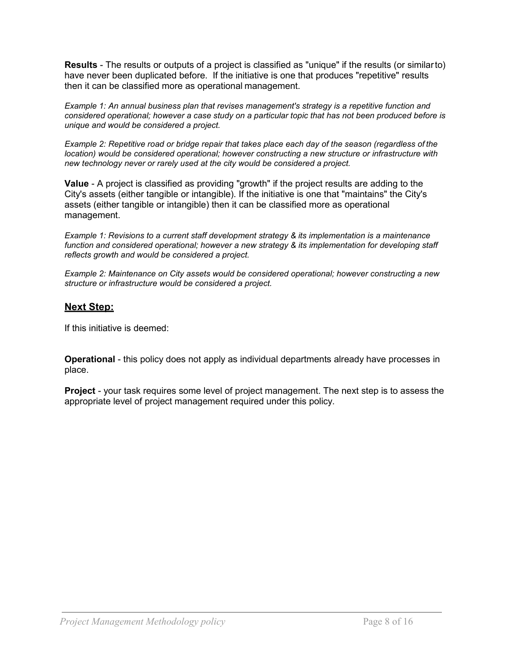**Results** - The results or outputs of a project is classified as "unique" if the results (or similarto) have never been duplicated before. If the initiative is one that produces "repetitive" results then it can be classified more as operational management.

*Example 1: An annual business plan that revises management's strategy is a repetitive function and considered operational; however a case study on a particular topic that has not been produced before is unique and would be considered a project.*

*Example 2: Repetitive road or bridge repair that takes place each day of the season (regardless of the location)* would be considered operational; however constructing a new structure or infrastructure with *new technology never or rarely used at the city would be considered a project.*

**Value** - A project is classified as providing "growth" if the project results are adding to the City's assets (either tangible or intangible). If the initiative is one that "maintains" the City's assets (either tangible or intangible) then it can be classified more as operational management.

*Example 1: Revisions to a current staff development strategy & its implementation is a maintenance function and considered operational; however a new strategy & its implementation for developing staff reflects growth and would be considered a project.*

*Example 2: Maintenance on City assets would be considered operational; however constructing a new structure or infrastructure would be considered a project.*

## **Next Step:**

If this initiative is deemed:

**Operational** - this policy does not apply as individual departments already have processes in place.

**Project** - your task requires some level of project management. The next step is to assess the appropriate level of project management required under this policy.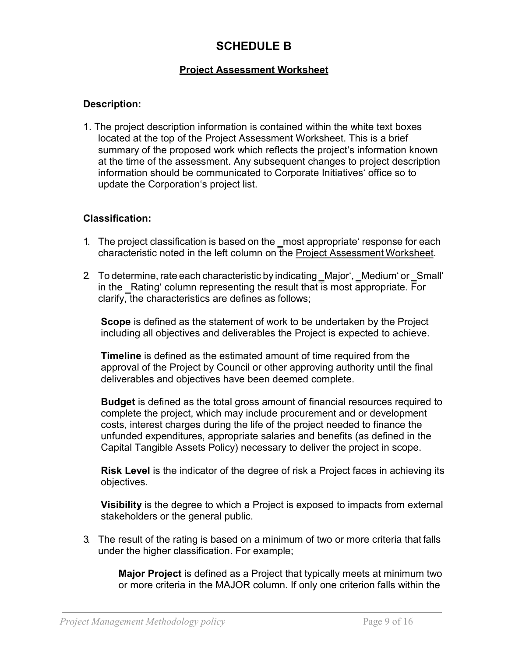# **SCHEDULE B**

## **Project Assessment Worksheet**

## **Description:**

1. The project description information is contained within the white text boxes located at the top of the Project Assessment Worksheet. This is a brief summary of the proposed work which reflects the project's information known at the time of the assessment. Any subsequent changes to project description information should be communicated to Corporate Initiatives' office so to update the Corporation's project list.

#### **Classification:**

- 1. The project classification is based on the \_most appropriate' response for each characteristic noted in the left column on the Project Assessment Worksheet.
- 2. To determine, rate each characteristic by indicating Major', Medium' or Small' in the Rating' column representing the result that  $\overline{\text{is}}$  most appropriate. For clarify, the characteristics are defines as follows;

**Scope** is defined as the statement of work to be undertaken by the Project including all objectives and deliverables the Project is expected to achieve.

**Timeline** is defined as the estimated amount of time required from the approval of the Project by Council or other approving authority until the final deliverables and objectives have been deemed complete.

**Budget** is defined as the total gross amount of financial resources required to complete the project, which may include procurement and or development costs, interest charges during the life of the project needed to finance the unfunded expenditures, appropriate salaries and benefits (as defined in the Capital Tangible Assets Policy) necessary to deliver the project in scope.

**Risk Level** is the indicator of the degree of risk a Project faces in achieving its objectives.

**Visibility** is the degree to which a Project is exposed to impacts from external stakeholders or the general public.

3. The result of the rating is based on a minimum of two or more criteria that falls under the higher classification. For example;

**Major Project** is defined as a Project that typically meets at minimum two or more criteria in the MAJOR column. If only one criterion falls within the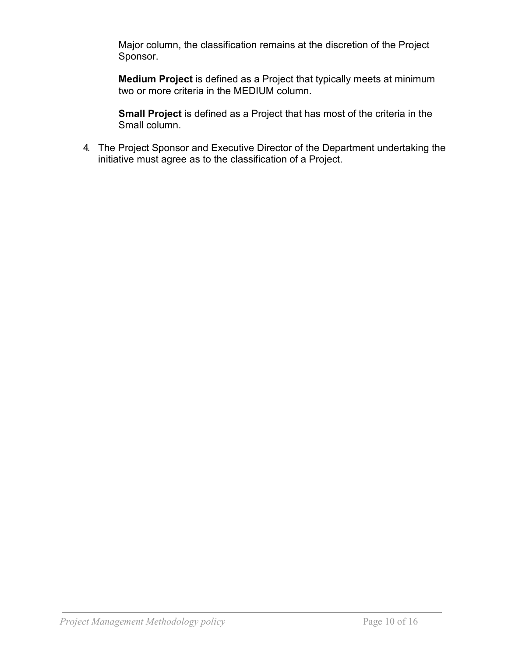Major column, the classification remains at the discretion of the Project Sponsor.

**Medium Project** is defined as a Project that typically meets at minimum two or more criteria in the MEDIUM column.

**Small Project** is defined as a Project that has most of the criteria in the Small column.

4. The Project Sponsor and Executive Director of the Department undertaking the initiative must agree as to the classification of a Project.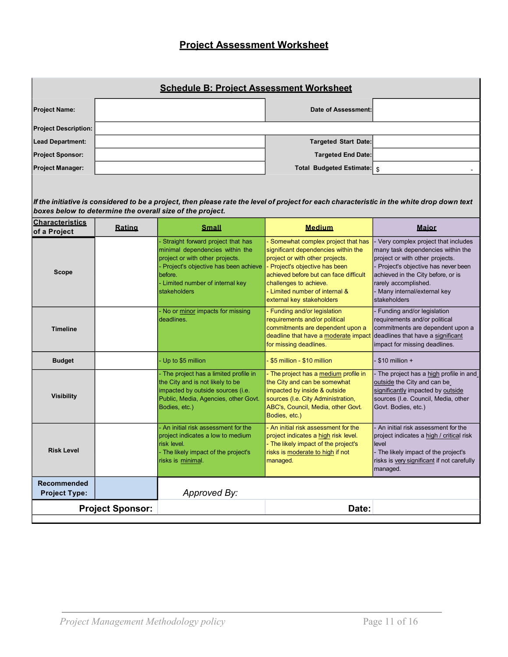## **Project Assessment Worksheet**

| <b>Schedule B: Project Assessment Worksheet</b> |  |                             |  |  |  |
|-------------------------------------------------|--|-----------------------------|--|--|--|
| <b>Project Name:</b>                            |  | Date of Assessment:         |  |  |  |
| <b>Project Description:</b>                     |  |                             |  |  |  |
| <b>Lead Department:</b>                         |  | <b>Targeted Start Date:</b> |  |  |  |
| <b>Project Sponsor:</b>                         |  | <b>Targeted End Date:</b>   |  |  |  |
| <b>Project Manager:</b>                         |  | Total Budgeted Estimate: s  |  |  |  |

If the initiative is considered to be a project, then please rate the level of project for each characteristic in the white drop down text *boxes below to determine the overall size of the project.*

| <b>Characteristics</b><br>of a Project     | Rating | <b>Small</b>                                                                                                                                                                                                   | <b>Medium</b>                                                                                                                                                                                                                                                                      | <b>Maior</b>                                                                                                                                                                                                                                                 |
|--------------------------------------------|--------|----------------------------------------------------------------------------------------------------------------------------------------------------------------------------------------------------------------|------------------------------------------------------------------------------------------------------------------------------------------------------------------------------------------------------------------------------------------------------------------------------------|--------------------------------------------------------------------------------------------------------------------------------------------------------------------------------------------------------------------------------------------------------------|
| <b>Scope</b>                               |        | Straight forward project that has<br>minimal dependencies within the<br>project or with other projects.<br>Project's objective has been achieve<br>before.<br>- Limited number of internal key<br>stakeholders | - Somewhat complex project that has<br>significant dependencies within the<br>project or with other projects.<br>- Project's objective has been<br>achieved before but can face difficult<br>challenges to achieve.<br>- Limited number of internal &<br>external key stakeholders | Very complex project that includes<br>many task dependencies within the<br>project or with other projects.<br>Project's objective has never been<br>achieved in the City before, or is<br>rarely accomplished.<br>Many internal/external key<br>stakeholders |
| <b>Timeline</b>                            |        | - No or minor impacts for missing<br>deadlines.                                                                                                                                                                | - Funding and/or legislation<br>requirements and/or political<br>commitments are dependent upon a<br>deadline that have a moderate impact<br>for missing deadlines.                                                                                                                | Funding and/or legislation<br>requirements and/or political<br>commitments are dependent upon a<br>deadlines that have a significant<br>impact for missing deadlines.                                                                                        |
| <b>Budget</b>                              |        | Up to \$5 million                                                                                                                                                                                              | \$5 million - \$10 million                                                                                                                                                                                                                                                         | $-$ \$10 million $+$                                                                                                                                                                                                                                         |
| <b>Visibility</b>                          |        | - The project has a limited profile in<br>the City and is not likely to be<br>impacted by outside sources (i.e.<br>Public, Media, Agencies, other Govt.<br>Bodies, etc.)                                       | - The project has a medium profile in<br>the City and can be somewhat<br>impacted by inside & outside<br>sources (I.e. City Administration,<br>ABC's, Council, Media, other Govt.<br>Bodies, etc.)                                                                                 | The project has a high profile in and<br>outside the City and can be<br>significantly impacted by outside<br>sources (I.e. Council, Media, other<br>Govt. Bodies, etc.)                                                                                      |
| <b>Risk Level</b>                          |        | - An initial risk assessment for the<br>project indicates a low to medium<br>risk level.<br>- The likely impact of the project's<br>risks is minimal.                                                          | - An initial risk assessment for the<br>project indicates a high risk level.<br>- The likely impact of the project's<br>risks is moderate to high if not<br>managed.                                                                                                               | - An initial risk assessment for the<br>project indicates a high / critical risk<br>level<br>- The likely impact of the project's<br>risks is very significant if not carefully<br>managed.                                                                  |
| <b>Recommended</b><br><b>Project Type:</b> |        | Approved By:                                                                                                                                                                                                   |                                                                                                                                                                                                                                                                                    |                                                                                                                                                                                                                                                              |
| <b>Project Sponsor:</b>                    |        |                                                                                                                                                                                                                | Date:                                                                                                                                                                                                                                                                              |                                                                                                                                                                                                                                                              |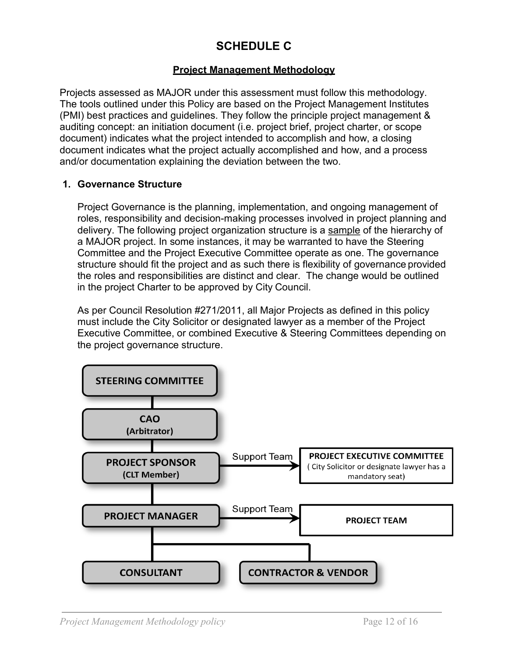# **SCHEDULE C**

## **Project Management Methodology**

Projects assessed as MAJOR under this assessment must follow this methodology. The tools outlined under this Policy are based on the Project Management Institutes (PMI) best practices and guidelines. They follow the principle project management & auditing concept: an initiation document (i.e. project brief, project charter, or scope document) indicates what the project intended to accomplish and how, a closing document indicates what the project actually accomplished and how, and a process and/or documentation explaining the deviation between the two.

## **1. Governance Structure**

Project Governance is the planning, implementation, and ongoing management of roles, responsibility and decision-making processes involved in project planning and delivery. The following project organization structure is a sample of the hierarchy of a MAJOR project. In some instances, it may be warranted to have the Steering Committee and the Project Executive Committee operate as one. The governance structure should fit the project and as such there is flexibility of governance provided the roles and responsibilities are distinct and clear. The change would be outlined in the project Charter to be approved by City Council.

As per Council Resolution #271/2011, all Major Projects as defined in this policy must include the City Solicitor or designated lawyer as a member of the Project Executive Committee, or combined Executive & Steering Committees depending on the project governance structure.

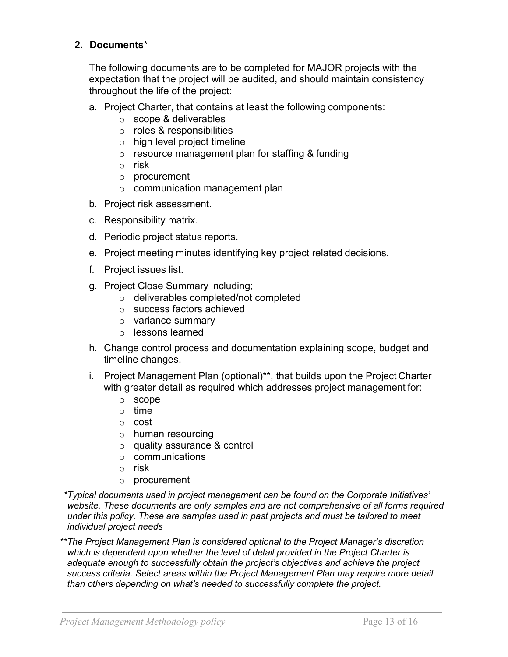## **2. Documents**\*

The following documents are to be completed for MAJOR projects with the expectation that the project will be audited, and should maintain consistency throughout the life of the project:

- a. Project Charter, that contains at least the following components:
	- o scope & deliverables
	- o roles & responsibilities
	- o high level project timeline
	- o resource management plan for staffing & funding
	- o risk
	- o procurement
	- o communication management plan
- b. Project risk assessment.
- c. Responsibility matrix.
- d. Periodic project status reports.
- e. Project meeting minutes identifying key project related decisions.
- f. Project issues list.
- g. Project Close Summary including;
	- o deliverables completed/not completed
	- o success factors achieved
	- o variance summary
	- o lessons learned
- h. Change control process and documentation explaining scope, budget and timeline changes.
- i. Project Management Plan (optional)\*\*, that builds upon the Project Charter with greater detail as required which addresses project management for:
	- o scope
	- o time
	- o cost
	- o human resourcing
	- o quality assurance & control
	- o communications
	- o risk
	- o procurement

*\*Typical documents used in project management can be found on the Corporate Initiatives' website. These documents are only samples and are not comprehensive of all forms required under this policy. These are samples used in past projects and must be tailored to meet individual project needs*

*\*\*The Project Management Plan is considered optional to the Project Manager's discretion which is dependent upon whether the level of detail provided in the Project Charter is adequate enough to successfully obtain the project's objectives and achieve the project success criteria. Select areas within the Project Management Plan may require more detail than others depending on what's needed to successfully complete the project.*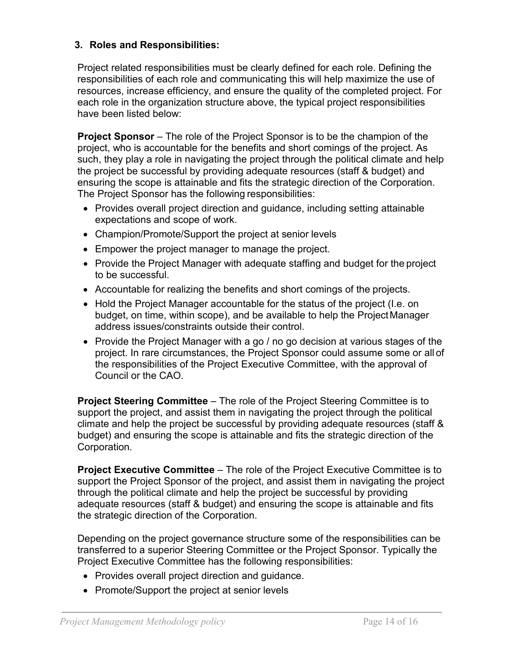## **3. Roles and Responsibilities:**

Project related responsibilities must be clearly defined for each role. Defining the responsibilities of each role and communicating this will help maximize the use of resources, increase efficiency, and ensure the quality of the completed project. For each role in the organization structure above, the typical project responsibilities have been listed below:

**Project Sponsor** – The role of the Project Sponsor is to be the champion of the project, who is accountable for the benefits and short comings of the project. As such, they play a role in navigating the project through the political climate and help the project be successful by providing adequate resources (staff & budget) and ensuring the scope is attainable and fits the strategic direction of the Corporation. The Project Sponsor has the following responsibilities:

- Provides overall project direction and guidance, including setting attainable expectations and scope of work.
- Champion/Promote/Support the project at senior levels
- Empower the project manager to manage the project.
- Provide the Project Manager with adequate staffing and budget for the project to be successful.
- Accountable for realizing the benefits and short comings of the projects.
- Hold the Project Manager accountable for the status of the project (I.e. on budget, on time, within scope), and be available to help the ProjectManager address issues/constraints outside their control.
- Provide the Project Manager with a go / no go decision at various stages of the project. In rare circumstances, the Project Sponsor could assume some or all of the responsibilities of the Project Executive Committee, with the approval of Council or the CAO.

**Project Steering Committee** – The role of the Project Steering Committee is to support the project, and assist them in navigating the project through the political climate and help the project be successful by providing adequate resources (staff & budget) and ensuring the scope is attainable and fits the strategic direction of the Corporation.

**Project Executive Committee** – The role of the Project Executive Committee is to support the Project Sponsor of the project, and assist them in navigating the project through the political climate and help the project be successful by providing adequate resources (staff & budget) and ensuring the scope is attainable and fits the strategic direction of the Corporation.

Depending on the project governance structure some of the responsibilities can be transferred to a superior Steering Committee or the Project Sponsor. Typically the Project Executive Committee has the following responsibilities:

- Provides overall project direction and guidance.
- Promote/Support the project at senior levels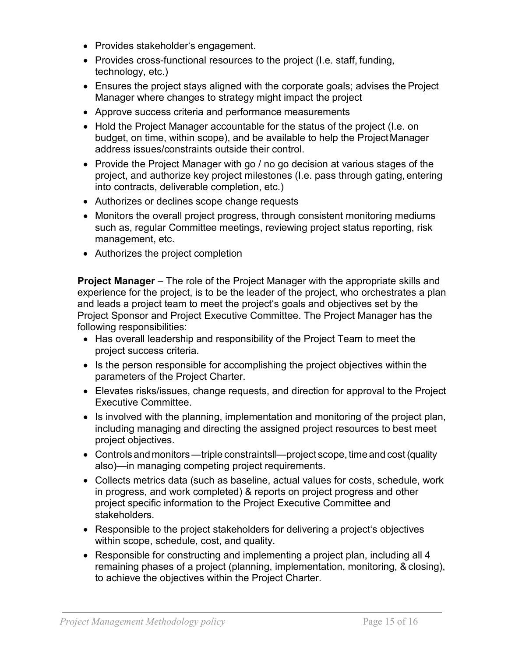- Provides stakeholder's engagement.
- Provides cross-functional resources to the project (I.e. staff, funding, technology, etc.)
- Ensures the project stays aligned with the corporate goals; advises the Project Manager where changes to strategy might impact the project
- Approve success criteria and performance measurements
- Hold the Project Manager accountable for the status of the project (I.e. on budget, on time, within scope), and be available to help the ProjectManager address issues/constraints outside their control.
- Provide the Project Manager with go / no go decision at various stages of the project, and authorize key project milestones (I.e. pass through gating, entering into contracts, deliverable completion, etc.)
- Authorizes or declines scope change requests
- Monitors the overall project progress, through consistent monitoring mediums such as, regular Committee meetings, reviewing project status reporting, risk management, etc.
- Authorizes the project completion

**Project Manager** – The role of the Project Manager with the appropriate skills and experience for the project, is to be the leader of the project, who orchestrates a plan and leads a project team to meet the project's goals and objectives set by the Project Sponsor and Project Executive Committee. The Project Manager has the following responsibilities:

- Has overall leadership and responsibility of the Project Team to meet the project success criteria.
- Is the person responsible for accomplishing the project objectives within the parameters of the Project Charter.
- Elevates risks/issues, change requests, and direction for approval to the Project Executive Committee.
- Is involved with the planning, implementation and monitoring of the project plan, including managing and directing the assigned project resources to best meet project objectives.
- Controls and monitors —triple constraints  $\equiv$  project scope, time and cost (quality also)—in managing competing project requirements.
- Collects metrics data (such as baseline, actual values for costs, schedule, work in progress, and work completed) & reports on project progress and other project specific information to the Project Executive Committee and stakeholders.
- Responsible to the project stakeholders for delivering a project's objectives within scope, schedule, cost, and quality.
- Responsible for constructing and implementing a project plan, including all 4 remaining phases of a project (planning, implementation, monitoring, & closing), to achieve the objectives within the Project Charter.